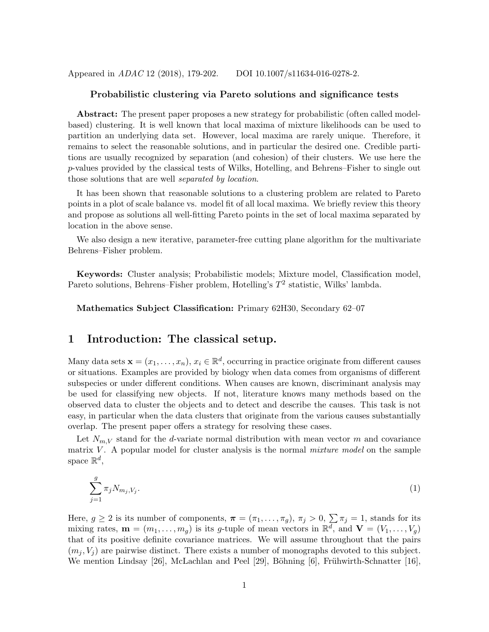Appeared in *ADAC* 12 (2018), 179-202. DOI 10.1007/s11634-016-0278-2.

### Probabilistic clustering via Pareto solutions and significance tests

Abstract: The present paper proposes a new strategy for probabilistic (often called modelbased) clustering. It is well known that local maxima of mixture likelihoods can be used to partition an underlying data set. However, local maxima are rarely unique. Therefore, it remains to select the reasonable solutions, and in particular the desired one. Credible partitions are usually recognized by separation (and cohesion) of their clusters. We use here the p-values provided by the classical tests of Wilks, Hotelling, and Behrens–Fisher to single out those solutions that are well *separated by location*.

It has been shown that reasonable solutions to a clustering problem are related to Pareto points in a plot of scale balance vs. model fit of all local maxima. We briefly review this theory and propose as solutions all well-fitting Pareto points in the set of local maxima separated by location in the above sense.

We also design a new iterative, parameter-free cutting plane algorithm for the multivariate Behrens–Fisher problem.

Keywords: Cluster analysis; Probabilistic models; Mixture model, Classification model, Pareto solutions, Behrens–Fisher problem, Hotelling's  $T^2$  statistic, Wilks' lambda.

Mathematics Subject Classification: Primary 62H30, Secondary 62–07

### 1 Introduction: The classical setup.

Many data sets  $\mathbf{x} = (x_1, \ldots, x_n), x_i \in \mathbb{R}^d$ , occurring in practice originate from different causes or situations. Examples are provided by biology when data comes from organisms of different subspecies or under different conditions. When causes are known, discriminant analysis may be used for classifying new objects. If not, literature knows many methods based on the observed data to cluster the objects and to detect and describe the causes. This task is not easy, in particular when the data clusters that originate from the various causes substantially overlap. The present paper offers a strategy for resolving these cases.

Let  $N_{m,V}$  stand for the d-variate normal distribution with mean vector m and covariance matrix V . A popular model for cluster analysis is the normal *mixture model* on the sample space  $\mathbb{R}^d$ ,

$$
\sum_{j=1}^{g} \pi_j N_{m_j, V_j}.\tag{1}
$$

Here,  $g \ge 2$  is its number of components,  $\pi = (\pi_1, \ldots, \pi_g), \pi_j > 0, \sum \pi_j = 1$ , stands for its mixing rates,  $\mathbf{m} = (m_1, \ldots, m_g)$  is its g-tuple of mean vectors in  $\mathbb{R}^d$ , and  $\mathbf{V} = (V_1, \ldots, V_g)$ that of its positive definite covariance matrices. We will assume throughout that the pairs  $(m_i, V_i)$  are pairwise distinct. There exists a number of monographs devoted to this subject. We mention Lindsay [26], McLachlan and Peel [29], Böhning [6], Frühwirth-Schnatter [16],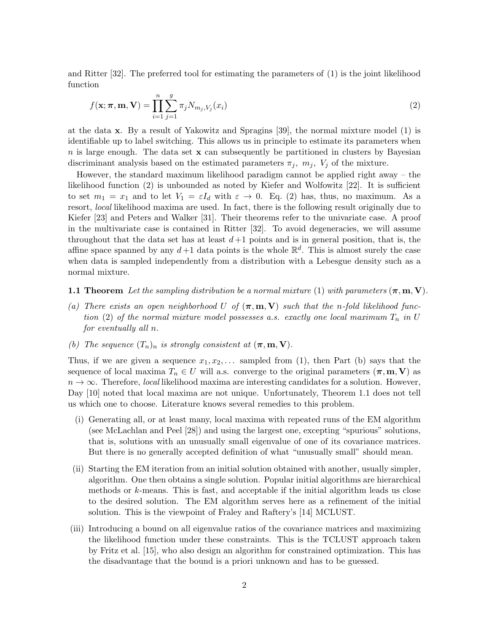and Ritter [32]. The preferred tool for estimating the parameters of (1) is the joint likelihood function

$$
f(\mathbf{x}; \boldsymbol{\pi}, \mathbf{m}, \mathbf{V}) = \prod_{i=1}^{n} \sum_{j=1}^{g} \pi_j N_{m_j, V_j}(x_i)
$$
\n(2)

at the data x. By a result of Yakowitz and Spragins [39], the normal mixture model (1) is identifiable up to label switching. This allows us in principle to estimate its parameters when n is large enough. The data set  $x$  can subsequently be partitioned in clusters by Bayesian discriminant analysis based on the estimated parameters  $\pi_j$ ,  $m_j$ ,  $V_j$  of the mixture.

However, the standard maximum likelihood paradigm cannot be applied right away – the likelihood function (2) is unbounded as noted by Kiefer and Wolfowitz [22]. It is sufficient to set  $m_1 = x_1$  and to let  $V_1 = \varepsilon I_d$  with  $\varepsilon \to 0$ . Eq. (2) has, thus, no maximum. As a resort, *local* likelihood maxima are used. In fact, there is the following result originally due to Kiefer [23] and Peters and Walker [31]. Their theorems refer to the univariate case. A proof in the multivariate case is contained in Ritter [32]. To avoid degeneracies, we will assume throughout that the data set has at least  $d+1$  points and is in general position, that is, the affine space spanned by any  $d+1$  data points is the whole  $\mathbb{R}^d$ . This is almost surely the case when data is sampled independently from a distribution with a Lebesgue density such as a normal mixture.

#### **1.1 Theorem** Let the sampling distribution be a normal mixture (1) with parameters  $(\pi, m, V)$ .

- (a) There exists an open neighborhood U of  $(\pi, m, V)$  such that the n-fold likelihood func*tion* (2) of the normal mixture model possesses a.s. exactly one local maximum  $T_n$  in U *for eventually all* n*.*
- *(b)* The sequence  $(T_n)_n$  *is strongly consistent at*  $(\pi, m, V)$ *.*

Thus, if we are given a sequence  $x_1, x_2, \ldots$  sampled from (1), then Part (b) says that the sequence of local maxima  $T_n \in U$  will a.s. converge to the original parameters  $(\pi, m, V)$  as  $n \to \infty$ . Therefore, *local* likelihood maxima are interesting candidates for a solution. However, Day [10] noted that local maxima are not unique. Unfortunately, Theorem 1.1 does not tell us which one to choose. Literature knows several remedies to this problem.

- (i) Generating all, or at least many, local maxima with repeated runs of the EM algorithm (see McLachlan and Peel [28]) and using the largest one, excepting "spurious" solutions, that is, solutions with an unusually small eigenvalue of one of its covariance matrices. But there is no generally accepted definition of what "unusually small" should mean.
- (ii) Starting the EM iteration from an initial solution obtained with another, usually simpler, algorithm. One then obtains a single solution. Popular initial algorithms are hierarchical methods or k-means. This is fast, and acceptable if the initial algorithm leads us close to the desired solution. The EM algorithm serves here as a refinement of the initial solution. This is the viewpoint of Fraley and Raftery's [14] MCLUST.
- (iii) Introducing a bound on all eigenvalue ratios of the covariance matrices and maximizing the likelihood function under these constraints. This is the TCLUST approach taken by Fritz et al. [15], who also design an algorithm for constrained optimization. This has the disadvantage that the bound is a priori unknown and has to be guessed.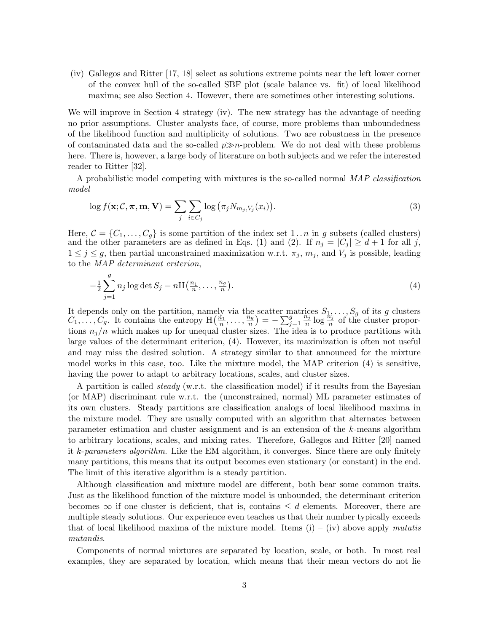(iv) Gallegos and Ritter [17, 18] select as solutions extreme points near the left lower corner of the convex hull of the so-called SBF plot (scale balance vs. fit) of local likelihood maxima; see also Section 4. However, there are sometimes other interesting solutions.

We will improve in Section 4 strategy (iv). The new strategy has the advantage of needing no prior assumptions. Cluster analysts face, of course, more problems than unboundedness of the likelihood function and multiplicity of solutions. Two are robustness in the presence of contaminated data and the so-called  $p\gg n$ -problem. We do not deal with these problems here. There is, however, a large body of literature on both subjects and we refer the interested reader to Ritter [32].

A probabilistic model competing with mixtures is the so-called normal *MAP classification model*

$$
\log f(\mathbf{x}; \mathcal{C}, \boldsymbol{\pi}, \mathbf{m}, \mathbf{V}) = \sum_{j} \sum_{i \in C_j} \log (\pi_j N_{m_j, V_j}(x_i)). \tag{3}
$$

Here,  $C = \{C_1, \ldots, C_g\}$  is some partition of the index set  $1 \ldots n$  in g subsets (called clusters) and the other parameters are as defined in Eqs. (1) and (2). If  $n_j = |C_j| \ge d+1$  for all j,  $1 \leq j \leq g$ , then partial unconstrained maximization w.r.t.  $\pi_j$ ,  $m_j$ , and  $V_j$  is possible, leading to the *MAP determinant criterion*,

$$
-\frac{1}{2}\sum_{j=1}^{g}n_j\log\det S_j - n\mathrm{H}\left(\frac{n_1}{n},\ldots,\frac{n_g}{n}\right). \tag{4}
$$

It depends only on the partition, namely via the scatter matrices  $S_1, \ldots, S_g$  of its g clusters  $C_1, \ldots, C_g$ . It contains the entropy  $H\left(\frac{n_1}{n}\right)$  $\frac{n_1}{n}, \ldots, \frac{n_g}{n}$  $\left(\frac{n_g}{n}\right) = -\sum_{j=1}^g$  $\tilde{n}_j$  $\frac{n_j}{n} \log \frac{n_j}{n}$  of the cluster proportions  $n_j/n$  which makes up for unequal cluster sizes. The idea is to produce partitions with large values of the determinant criterion, (4). However, its maximization is often not useful and may miss the desired solution. A strategy similar to that announced for the mixture model works in this case, too. Like the mixture model, the MAP criterion (4) is sensitive, having the power to adapt to arbitrary locations, scales, and cluster sizes.

A partition is called *steady* (w.r.t. the classification model) if it results from the Bayesian (or MAP) discriminant rule w.r.t. the (unconstrained, normal) ML parameter estimates of its own clusters. Steady partitions are classification analogs of local likelihood maxima in the mixture model. They are usually computed with an algorithm that alternates between parameter estimation and cluster assignment and is an extension of the k-means algorithm to arbitrary locations, scales, and mixing rates. Therefore, Gallegos and Ritter [20] named it k-*parameters algorithm*. Like the EM algorithm, it converges. Since there are only finitely many partitions, this means that its output becomes even stationary (or constant) in the end. The limit of this iterative algorithm is a steady partition.

Although classification and mixture model are different, both bear some common traits. Just as the likelihood function of the mixture model is unbounded, the determinant criterion becomes  $\infty$  if one cluster is deficient, that is, contains  $\leq d$  elements. Moreover, there are multiple steady solutions. Our experience even teaches us that their number typically exceeds that of local likelihood maxima of the mixture model. Items (i) – (iv) above apply *mutatis mutandis*.

Components of normal mixtures are separated by location, scale, or both. In most real examples, they are separated by location, which means that their mean vectors do not lie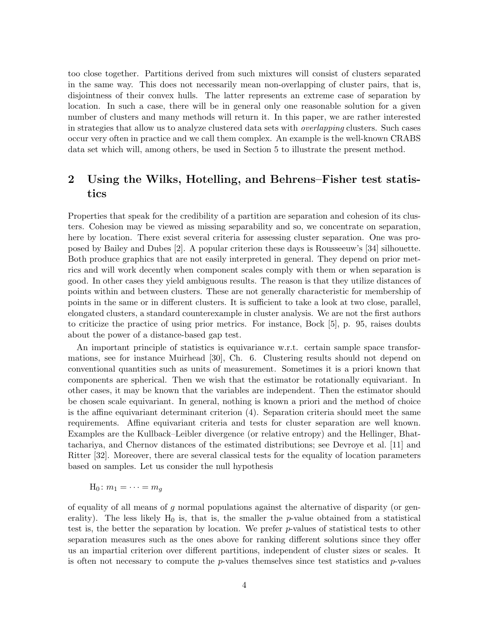too close together. Partitions derived from such mixtures will consist of clusters separated in the same way. This does not necessarily mean non-overlapping of cluster pairs, that is, disjointness of their convex hulls. The latter represents an extreme case of separation by location. In such a case, there will be in general only one reasonable solution for a given number of clusters and many methods will return it. In this paper, we are rather interested in strategies that allow us to analyze clustered data sets with *overlapping* clusters. Such cases occur very often in practice and we call them complex. An example is the well-known CRABS data set which will, among others, be used in Section 5 to illustrate the present method.

# 2 Using the Wilks, Hotelling, and Behrens–Fisher test statistics

Properties that speak for the credibility of a partition are separation and cohesion of its clusters. Cohesion may be viewed as missing separability and so, we concentrate on separation, here by location. There exist several criteria for assessing cluster separation. One was proposed by Bailey and Dubes [2]. A popular criterion these days is Rousseeuw's [34] silhouette. Both produce graphics that are not easily interpreted in general. They depend on prior metrics and will work decently when component scales comply with them or when separation is good. In other cases they yield ambiguous results. The reason is that they utilize distances of points within and between clusters. These are not generally characteristic for membership of points in the same or in different clusters. It is sufficient to take a look at two close, parallel, elongated clusters, a standard counterexample in cluster analysis. We are not the first authors to criticize the practice of using prior metrics. For instance, Bock [5], p. 95, raises doubts about the power of a distance-based gap test.

An important principle of statistics is equivariance w.r.t. certain sample space transformations, see for instance Muirhead [30], Ch. 6. Clustering results should not depend on conventional quantities such as units of measurement. Sometimes it is a priori known that components are spherical. Then we wish that the estimator be rotationally equivariant. In other cases, it may be known that the variables are independent. Then the estimator should be chosen scale equivariant. In general, nothing is known a priori and the method of choice is the affine equivariant determinant criterion (4). Separation criteria should meet the same requirements. Affine equivariant criteria and tests for cluster separation are well known. Examples are the Kullback–Leibler divergence (or relative entropy) and the Hellinger, Bhattachariya, and Chernov distances of the estimated distributions; see Devroye et al. [11] and Ritter [32]. Moreover, there are several classical tests for the equality of location parameters based on samples. Let us consider the null hypothesis

$$
H_0 \colon m_1 = \cdots = m_g
$$

of equality of all means of  $g$  normal populations against the alternative of disparity (or generality). The less likely  $H_0$  is, that is, the smaller the p-value obtained from a statistical test is, the better the separation by location. We prefer p-values of statistical tests to other separation measures such as the ones above for ranking different solutions since they offer us an impartial criterion over different partitions, independent of cluster sizes or scales. It is often not necessary to compute the  $p$ -values themselves since test statistics and  $p$ -values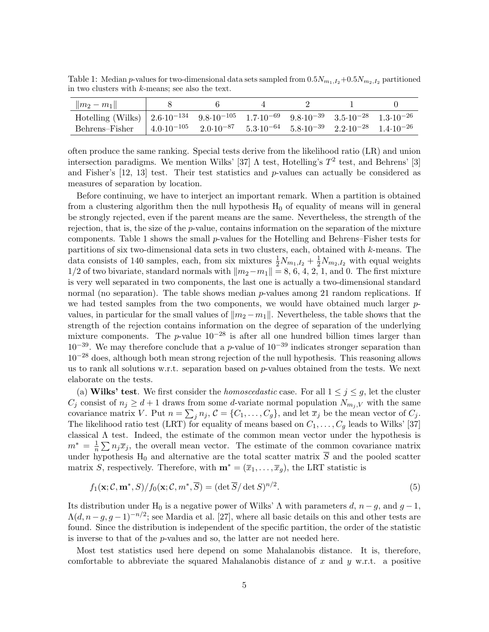Table 1: Median *p*-values for two-dimensional data sets sampled from  $0.5N_{m_1,I_2}+0.5N_{m_2,I_2}$  partitioned in two clusters with k-means; see also the text.

| $\ m_2 - m_1\ $                                                                                                                                                             |  |  |  |
|-----------------------------------------------------------------------------------------------------------------------------------------------------------------------------|--|--|--|
| Hotelling (Wilks) $\vert 2.6 \cdot 10^{-134} \quad 9.8 \cdot 10^{-105} \quad 1.7 \cdot 10^{-69} \quad 9.8 \cdot 10^{-39} \quad 3.5 \cdot 10^{-28} \quad 1.3 \cdot 10^{-26}$ |  |  |  |
| Behrens–Fisher $ 4.0.10^{-105}$ $2.0.10^{-87}$ $5.3.10^{-64}$ $5.8.10^{-39}$ $2.2.10^{-28}$ $1.4.10^{-26}$                                                                  |  |  |  |

often produce the same ranking. Special tests derive from the likelihood ratio (LR) and union intersection paradigms. We mention Wilks' [37]  $\Lambda$  test, Hotelling's  $T^2$  test, and Behrens' [3] and Fisher's  $[12, 13]$  test. Their test statistics and p-values can actually be considered as measures of separation by location.

Before continuing, we have to interject an important remark. When a partition is obtained from a clustering algorithm then the null hypothesis  $H_0$  of equality of means will in general be strongly rejected, even if the parent means are the same. Nevertheless, the strength of the rejection, that is, the size of the p-value, contains information on the separation of the mixture components. Table 1 shows the small p-values for the Hotelling and Behrens–Fisher tests for partitions of six two-dimensional data sets in two clusters, each, obtained with k-means. The data consists of 140 samples, each, from six mixtures  $\frac{1}{2}N_{m_1,I_2} + \frac{1}{2}N_{m_2,I_2}$  with equal weights 1/2 of two bivariate, standard normals with  $\|m_2-m_1\|=8, 6, 4, 2, 1$ , and 0. The first mixture is very well separated in two components, the last one is actually a two-dimensional standard normal (no separation). The table shows median  $p$ -values among 21 random replications. If we had tested samples from the two components, we would have obtained much larger  $p$ values, in particular for the small values of  $\|m_2 - m_1\|$ . Nevertheless, the table shows that the strength of the rejection contains information on the degree of separation of the underlying mixture components. The p-value  $10^{-28}$  is after all one hundred billion times larger than  $10^{-39}$ . We may therefore conclude that a p-value of  $10^{-39}$  indicates stronger separation than  $10^{-28}$  does, although both mean strong rejection of the null hypothesis. This reasoning allows us to rank all solutions w.r.t. separation based on  $p$ -values obtained from the tests. We next elaborate on the tests.

(a) **Wilks' test**. We first consider the *homoscedastic* case. For all  $1 \leq j \leq q$ , let the cluster  $C_j$  consist of  $n_j \geq d+1$  draws from some d-variate normal population  $N_{m_j,V}$  with the same covariance matrix V. Put  $n = \sum_j n_j$ ,  $\mathcal{C} = \{C_1, \ldots, C_g\}$ , and let  $\overline{x}_j$  be the mean vector of  $C_j$ . The likelihood ratio test (LRT) for equality of means based on  $C_1, \ldots, C_g$  leads to Wilks' [37] classical Λ test. Indeed, the estimate of the common mean vector under the hypothesis is  $m^* = \frac{1}{n}$  $\frac{1}{n}\sum n_j\overline{x}_j$ , the overall mean vector. The estimate of the common covariance matrix under hypothesis  $H_0$  and alternative are the total scatter matrix  $\overline{S}$  and the pooled scatter matrix S, respectively. Therefore, with  $\mathbf{m}^* = (\overline{x}_1, \ldots, \overline{x}_q)$ , the LRT statistic is

$$
f_1(\mathbf{x}; \mathcal{C}, \mathbf{m}^*, S) / f_0(\mathbf{x}; \mathcal{C}, m^*, \overline{S}) = (\det \overline{S} / \det S)^{n/2}.
$$
 (5)

Its distribution under H<sub>0</sub> is a negative power of Wilks'  $\Lambda$  with parameters d,  $n - g$ , and  $g - 1$ ,  $\Lambda(d, n-g, g-1)^{-n/2}$ ; see Mardia et al. [27], where all basic details on this and other tests are found. Since the distribution is independent of the specific partition, the order of the statistic is inverse to that of the p-values and so, the latter are not needed here.

Most test statistics used here depend on some Mahalanobis distance. It is, therefore, comfortable to abbreviate the squared Mahalanobis distance of x and y w.r.t. a positive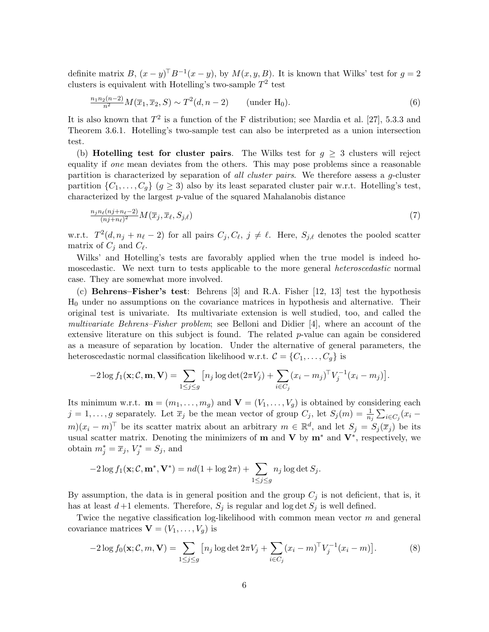definite matrix B,  $(x - y)^{\top}B^{-1}(x - y)$ , by  $M(x, y, B)$ . It is known that Wilks' test for  $g = 2$ clusters is equivalent with Hotelling's two-sample  $T^2$  test

$$
\frac{n_1 n_2 (n-2)}{n^2} M(\overline{x}_1, \overline{x}_2, S) \sim T^2(d, n-2) \qquad \text{(under H_0).}
$$
 (6)

It is also known that  $T^2$  is a function of the F distribution; see Mardia et al. [27], 5.3.3 and Theorem 3.6.1. Hotelling's two-sample test can also be interpreted as a union intersection test.

(b) **Hotelling test for cluster pairs**. The Wilks test for  $g \geq 3$  clusters will reject equality if *one* mean deviates from the others. This may pose problems since a reasonable partition is characterized by separation of *all cluster pairs*. We therefore assess a g-cluster partition  $\{C_1, \ldots, C_q\}$   $(g \geq 3)$  also by its least separated cluster pair w.r.t. Hotelling's test, characterized by the largest p-value of the squared Mahalanobis distance

$$
\frac{n_j n_\ell (nj + n_\ell - 2)}{(nj + n_\ell)^2} M(\overline{x}_j, \overline{x}_\ell, S_{j,\ell}) \tag{7}
$$

w.r.t.  $T^2(d, n_j + n_\ell - 2)$  for all pairs  $C_j, C_\ell, j \neq \ell$ . Here,  $S_{j,\ell}$  denotes the pooled scatter matrix of  $C_j$  and  $C_{\ell}$ .

Wilks' and Hotelling's tests are favorably applied when the true model is indeed homoscedastic. We next turn to tests applicable to the more general *heteroscedastic* normal case. They are somewhat more involved.

(c) Behrens–Fisher's test: Behrens [3] and R.A. Fisher [12, 13] test the hypothesis H<sup>0</sup> under no assumptions on the covariance matrices in hypothesis and alternative. Their original test is univariate. Its multivariate extension is well studied, too, and called the *multivariate Behrens–Fisher problem*; see Belloni and Didier [4], where an account of the extensive literature on this subject is found. The related  $p$ -value can again be considered as a measure of separation by location. Under the alternative of general parameters, the heteroscedastic normal classification likelihood w.r.t.  $\mathcal{C} = \{C_1, \ldots, C_q\}$  is

$$
-2\log f_1(\mathbf{x}; \mathcal{C}, \mathbf{m}, \mathbf{V}) = \sum_{1 \leq j \leq g} \left[ n_j \log \det(2\pi V_j) + \sum_{i \in C_j} (x_i - m_j)^{\top} V_j^{-1} (x_i - m_j) \right].
$$

Its minimum w.r.t.  $\mathbf{m} = (m_1, \ldots, m_q)$  and  $\mathbf{V} = (V_1, \ldots, V_q)$  is obtained by considering each  $j = 1, \ldots, g$  separately. Let  $\overline{x}_j$  be the mean vector of group  $C_j$ , let  $S_j(m) = \frac{1}{n_j} \sum_{i \in C_j} (x_i$  $m(x_i - m)$ <sup>T</sup> be its scatter matrix about an arbitrary  $m \in \mathbb{R}^d$ , and let  $S_j = S_j(\overline{x}_j)$  be its usual scatter matrix. Denoting the minimizers of **m** and **V** by  $\mathbf{m}^*$  and  $\mathbf{V}^*$ , respectively, we obtain  $m_j^* = \overline{x}_j$ ,  $V_j^* = S_j$ , and

$$
-2\log f_1(\mathbf{x}; \mathcal{C}, \mathbf{m}^*, \mathbf{V}^*) = nd(1 + \log 2\pi) + \sum_{1 \le j \le g} n_j \log \det S_j.
$$

By assumption, the data is in general position and the group  $C_j$  is not deficient, that is, it has at least  $d+1$  elements. Therefore,  $S_j$  is regular and log det  $S_j$  is well defined.

Twice the negative classification log-likelihood with common mean vector  $m$  and general covariance matrices  $\mathbf{V} = (V_1, \ldots, V_q)$  is

$$
-2\log f_0(\mathbf{x}; \mathcal{C}, m, \mathbf{V}) = \sum_{1 \le j \le g} \left[ n_j \log \det 2\pi V_j + \sum_{i \in C_j} (x_i - m)^{\top} V_j^{-1} (x_i - m) \right]. \tag{8}
$$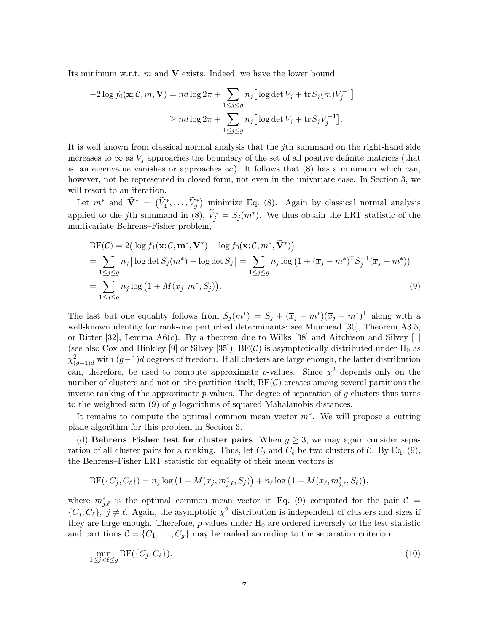Its minimum w.r.t.  $m$  and  $V$  exists. Indeed, we have the lower bound

$$
-2\log f_0(\mathbf{x}; \mathcal{C}, m, \mathbf{V}) = nd \log 2\pi + \sum_{1 \le j \le g} n_j \big[ \log \det V_j + \text{tr} S_j(m) V_j^{-1} \big]
$$

$$
\ge nd \log 2\pi + \sum_{1 \le j \le g} n_j \big[ \log \det V_j + \text{tr} S_j V_j^{-1} \big].
$$

It is well known from classical normal analysis that the  $j$ th summand on the right-hand side increases to  $\infty$  as  $V_i$  approaches the boundary of the set of all positive definite matrices (that is, an eigenvalue vanishes or approaches  $\infty$ ). It follows that (8) has a minimum which can, however, not be represented in closed form, not even in the univariate case. In Section 3, we will resort to an iteration.

Let  $m^*$  and  $\widetilde{\mathbf{V}}^* = (\widetilde{V}_1^*, \ldots, \widetilde{V}_g^*)$  minimize Eq. (8). Again by classical normal analysis applied to the jth summand in (8),  $\tilde{V}_j^* = S_j(m^*)$ . We thus obtain the LRT statistic of the multivariate Behrens–Fisher problem,

$$
BF(\mathcal{C}) = 2\left(\log f_1(\mathbf{x}; \mathcal{C}, \mathbf{m}^*, \mathbf{V}^*) - \log f_0(\mathbf{x}; \mathcal{C}, m^*, \tilde{\mathbf{V}}^*)\right)
$$
  
\n
$$
= \sum_{1 \le j \le g} n_j \left[\log \det S_j(m^*) - \log \det S_j\right] = \sum_{1 \le j \le g} n_j \log \left(1 + (\overline{x}_j - m^*)^\top S_j^{-1} (\overline{x}_j - m^*)\right)
$$
  
\n
$$
= \sum_{1 \le j \le g} n_j \log \left(1 + M(\overline{x}_j, m^*, S_j)\right).
$$
\n(9)

The last but one equality follows from  $S_j(m^*) = S_j + (\overline{x}_j - m^*)(\overline{x}_j - m^*)^\top$  along with a well-known identity for rank-one perturbed determinants; see Muirhead [30], Theorem A3.5, or Ritter [32], Lemma  $A6(c)$ . By a theorem due to Wilks [38] and Aitchison and Silvey [1] (see also Cox and Hinkley [9] or Silvey [35]),  $BF(\mathcal{C})$  is asymptotically distributed under  $H_0$  as  $\chi^2_{(g-1)d}$  with  $(g-1)d$  degrees of freedom. If all clusters are large enough, the latter distribution can, therefore, be used to compute approximate p-values. Since  $\chi^2$  depends only on the number of clusters and not on the partition itself,  $BF(\mathcal{C})$  creates among several partitions the inverse ranking of the approximate  $p$ -values. The degree of separation of q clusters thus turns to the weighted sum (9) of g logarithms of squared Mahalanobis distances.

It remains to compute the optimal common mean vector  $m^*$ . We will propose a cutting plane algorithm for this problem in Section 3.

(d) Behrens–Fisher test for cluster pairs: When  $q > 3$ , we may again consider separation of all cluster pairs for a ranking. Thus, let  $C_j$  and  $C_\ell$  be two clusters of  $\mathcal{C}$ . By Eq. (9), the Behrens–Fisher LRT statistic for equality of their mean vectors is

$$
BF(\lbrace C_j, C_\ell \rbrace) = n_j \log (1 + M(\overline{x}_j, m_{j,\ell}^*, S_j)) + n_\ell \log (1 + M(\overline{x}_\ell, m_{j,\ell}^*, S_\ell)),
$$

where  $m_{j,\ell}^*$  is the optimal common mean vector in Eq. (9) computed for the pair  $\mathcal{C}$  =  $\{C_j, C_\ell\}, j \neq \ell$ . Again, the asymptotic  $\chi^2$  distribution is independent of clusters and sizes if they are large enough. Therefore,  $p$ -values under  $H_0$  are ordered inversely to the test statistic and partitions  $C = \{C_1, \ldots, C_g\}$  may be ranked according to the separation criterion

$$
\min_{1 \le j < \ell \le g} \text{BF}(\{C_j, C_\ell\}).\tag{10}
$$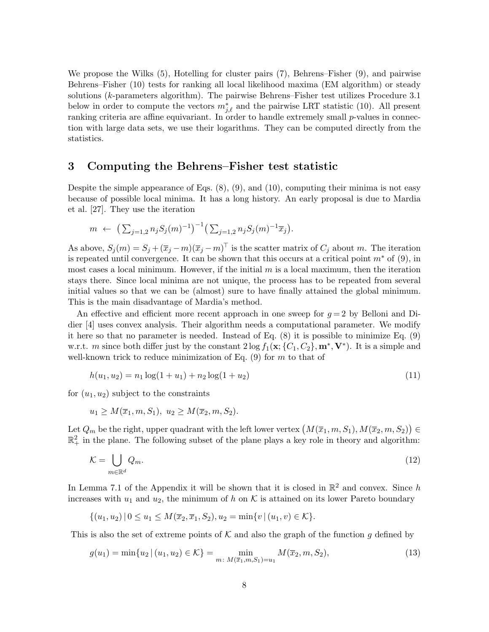We propose the Wilks (5), Hotelling for cluster pairs (7), Behrens–Fisher (9), and pairwise Behrens–Fisher (10) tests for ranking all local likelihood maxima (EM algorithm) or steady solutions (k-parameters algorithm). The pairwise Behrens–Fisher test utilizes Procedure 3.1 below in order to compute the vectors  $m_{j,\ell}^*$  and the pairwise LRT statistic (10). All present ranking criteria are affine equivariant. In order to handle extremely small  $p$ -values in connection with large data sets, we use their logarithms. They can be computed directly from the statistics.

### 3 Computing the Behrens–Fisher test statistic

Despite the simple appearance of Eqs.  $(8), (9),$  and  $(10),$  computing their minima is not easy because of possible local minima. It has a long history. An early proposal is due to Mardia et al. [27]. They use the iteration

$$
m \leftarrow (\sum_{j=1,2} n_j S_j(m)^{-1})^{-1} (\sum_{j=1,2} n_j S_j(m)^{-1} \overline{x}_j).
$$

As above,  $S_j(m) = S_j + (\overline{x}_j - m)(\overline{x}_j - m)^T$  is the scatter matrix of  $C_j$  about m. The iteration is repeated until convergence. It can be shown that this occurs at a critical point  $m^*$  of (9), in most cases a local minimum. However, if the initial  $m$  is a local maximum, then the iteration stays there. Since local minima are not unique, the process has to be repeated from several initial values so that we can be (almost) sure to have finally attained the global minimum. This is the main disadvantage of Mardia's method.

An effective and efficient more recent approach in one sweep for  $q = 2$  by Belloni and Didier [4] uses convex analysis. Their algorithm needs a computational parameter. We modify it here so that no parameter is needed. Instead of Eq. (8) it is possible to minimize Eq. (9) w.r.t. m since both differ just by the constant  $2\log f_1(\mathbf{x}; \{C_1, C_2\}, \mathbf{m}^*, \mathbf{V}^*)$ . It is a simple and well-known trick to reduce minimization of Eq.  $(9)$  for m to that of

$$
h(u_1, u_2) = n_1 \log(1 + u_1) + n_2 \log(1 + u_2)
$$
\n(11)

for  $(u_1, u_2)$  subject to the constraints

$$
u_1 \geq M(\overline{x}_1, m, S_1), u_2 \geq M(\overline{x}_2, m, S_2).
$$

Let  $Q_m$  be the right, upper quadrant with the left lower vertex  $(M(\overline{x}_1, m, S_1), M(\overline{x}_2, m, S_2)) \in$  $\mathbb{R}^2_+$  in the plane. The following subset of the plane plays a key role in theory and algorithm:

$$
\mathcal{K} = \bigcup_{m \in \mathbb{R}^d} Q_m. \tag{12}
$$

In Lemma 7.1 of the Appendix it will be shown that it is closed in  $\mathbb{R}^2$  and convex. Since h increases with  $u_1$  and  $u_2$ , the minimum of h on K is attained on its lower Pareto boundary

$$
\{(u_1, u_2) \mid 0 \le u_1 \le M(\overline{x}_2, \overline{x}_1, S_2), u_2 = \min\{v \mid (u_1, v) \in \mathcal{K}\}.
$$

This is also the set of extreme points of  $K$  and also the graph of the function g defined by

$$
g(u_1) = \min\{u_2 \mid (u_1, u_2) \in \mathcal{K}\} = \min_{m \colon M(\overline{x}_1, m, S_1) = u_1} M(\overline{x}_2, m, S_2),\tag{13}
$$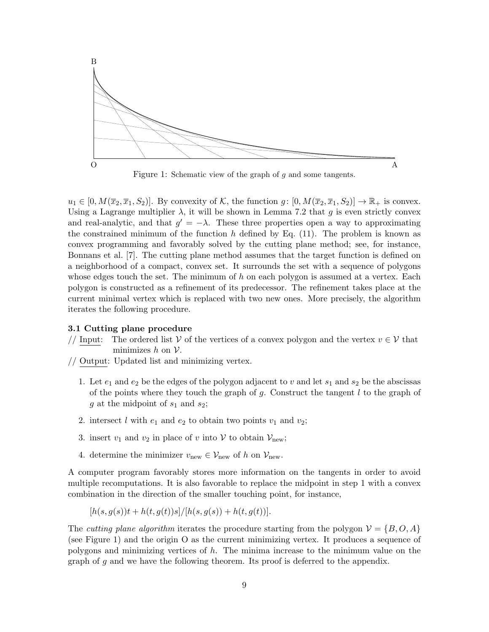

Figure 1: Schematic view of the graph of g and some tangents.

 $u_1 \in [0, M(\overline{x}_2, \overline{x}_1, S_2)]$ . By convexity of K, the function  $g: [0, M(\overline{x}_2, \overline{x}_1, S_2)] \to \mathbb{R}_+$  is convex. Using a Lagrange multiplier  $\lambda$ , it will be shown in Lemma 7.2 that g is even strictly convex and real-analytic, and that  $g' = -\lambda$ . These three properties open a way to approximating the constrained minimum of the function h defined by Eq.  $(11)$ . The problem is known as convex programming and favorably solved by the cutting plane method; see, for instance, Bonnans et al. [7]. The cutting plane method assumes that the target function is defined on a neighborhood of a compact, convex set. It surrounds the set with a sequence of polygons whose edges touch the set. The minimum of  $h$  on each polygon is assumed at a vertex. Each polygon is constructed as a refinement of its predecessor. The refinement takes place at the current minimal vertex which is replaced with two new ones. More precisely, the algorithm iterates the following procedure.

### 3.1 Cutting plane procedure

- // Input: The ordered list V of the vertices of a convex polygon and the vertex  $v \in V$  that minimizes  $h$  on  $V$ .
- // Output: Updated list and minimizing vertex.
	- 1. Let  $e_1$  and  $e_2$  be the edges of the polygon adjacent to v and let  $s_1$  and  $s_2$  be the abscissas of the points where they touch the graph of  $g$ . Construct the tangent  $l$  to the graph of g at the midpoint of  $s_1$  and  $s_2$ ;
	- 2. intersect l with  $e_1$  and  $e_2$  to obtain two points  $v_1$  and  $v_2$ ;
	- 3. insert  $v_1$  and  $v_2$  in place of v into V to obtain  $\mathcal{V}_{\text{new}}$ ;
	- 4. determine the minimizer  $v_{\text{new}} \in \mathcal{V}_{\text{new}}$  of h on  $\mathcal{V}_{\text{new}}$ .

A computer program favorably stores more information on the tangents in order to avoid multiple recomputations. It is also favorable to replace the midpoint in step 1 with a convex combination in the direction of the smaller touching point, for instance,

$$
[h(s, g(s))t + h(t, g(t))s]/[h(s, g(s)) + h(t, g(t))].
$$

The *cutting plane algorithm* iterates the procedure starting from the polygon  $V = \{B, O, A\}$ (see Figure 1) and the origin O as the current minimizing vertex. It produces a sequence of polygons and minimizing vertices of h. The minima increase to the minimum value on the graph of g and we have the following theorem. Its proof is deferred to the appendix.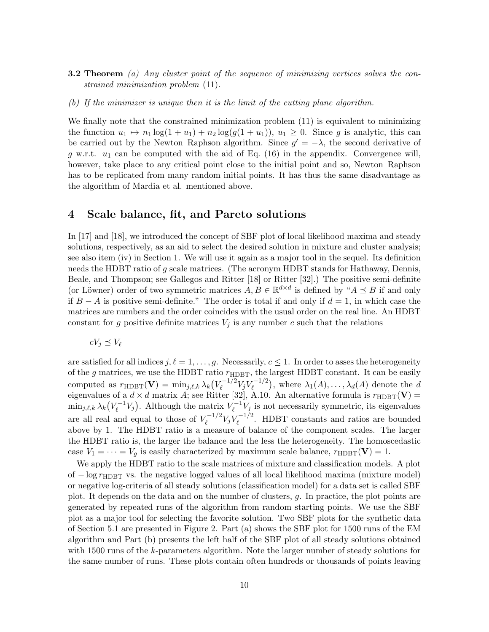- 3.2 Theorem *(a) Any cluster point of the sequence of minimizing vertices solves the constrained minimization problem* (11)*.*
- *(b) If the minimizer is unique then it is the limit of the cutting plane algorithm.*

We finally note that the constrained minimization problem  $(11)$  is equivalent to minimizing the function  $u_1 \mapsto n_1 \log(1 + u_1) + n_2 \log(g(1 + u_1)), u_1 \geq 0$ . Since g is analytic, this can be carried out by the Newton–Raphson algorithm. Since  $g' = -\lambda$ , the second derivative of g w.r.t.  $u_1$  can be computed with the aid of Eq. (16) in the appendix. Convergence will, however, take place to any critical point close to the initial point and so, Newton–Raphson has to be replicated from many random initial points. It has thus the same disadvantage as the algorithm of Mardia et al. mentioned above.

### 4 Scale balance, fit, and Pareto solutions

In [17] and [18], we introduced the concept of SBF plot of local likelihood maxima and steady solutions, respectively, as an aid to select the desired solution in mixture and cluster analysis; see also item (iv) in Section 1. We will use it again as a major tool in the sequel. Its definition needs the HDBT ratio of g scale matrices. (The acronym HDBT stands for Hathaway, Dennis, Beale, and Thompson; see Gallegos and Ritter [18] or Ritter [32].) The positive semi-definite (or Löwner) order of two symmetric matrices  $A, B \in \mathbb{R}^{d \times d}$  is defined by " $A \preceq B$  if and only if  $B - A$  is positive semi-definite." The order is total if and only if  $d = 1$ , in which case the matrices are numbers and the order coincides with the usual order on the real line. An HDBT constant for g positive definite matrices  $V_j$  is any number c such that the relations

$$
cV_j \preceq V_\ell
$$

are satisfied for all indices  $j, \ell = 1, \ldots, g$ . Necessarily,  $c \leq 1$ . In order to asses the heterogeneity of the g matrices, we use the HDBT ratio  $r_{\text{HDBT}}$ , the largest HDBT constant. It can be easily computed as  $r_{\text{HDBT}}(\mathbf{V}) = \min_{j,\ell,k} \lambda_k (V_{\ell}^{-1/2})$  $V_{\ell}^{-1/2}V_jV_{\ell}^{-1/2}$  $\mathcal{L}_{\ell}^{-1/2}$ , where  $\lambda_1(A), \ldots, \lambda_d(A)$  denote the d eigenvalues of a  $d \times d$  matrix A; see Ritter [32], A.10. An alternative formula is  $r_{\text{HDBT}}(\mathbf{V}) =$  $\min_{j,\ell,k} \lambda_k \bigl( V_\ell^{-1}$  $V_{\ell}^{-1}V_j$ ). Although the matrix  $V_{\ell}^{-1}$  $\mathcal{V}_{\ell}^{-1}V_j$  is not necessarily symmetric, its eigenvalues are all real and equal to those of  $V_{\ell}^{-1/2}$  $\frac{V_f-1/2}{\ell}V_jV_\ell^{-1/2}$  $\ell_{\ell}^{-1/2}$ . HDBT constants and ratios are bounded above by 1. The HDBT ratio is a measure of balance of the component scales. The larger the HDBT ratio is, the larger the balance and the less the heterogeneity. The homoscedastic case  $V_1 = \cdots = V_g$  is easily characterized by maximum scale balance,  $r_{\text{HDBT}}(\mathbf{V}) = 1$ .

We apply the HDBT ratio to the scale matrices of mixture and classification models. A plot of  $-\log r_{\text{HDRT}}$  vs. the negative logged values of all local likelihood maxima (mixture model) or negative log-criteria of all steady solutions (classification model) for a data set is called SBF plot. It depends on the data and on the number of clusters, g. In practice, the plot points are generated by repeated runs of the algorithm from random starting points. We use the SBF plot as a major tool for selecting the favorite solution. Two SBF plots for the synthetic data of Section 5.1 are presented in Figure 2. Part (a) shows the SBF plot for 1500 runs of the EM algorithm and Part (b) presents the left half of the SBF plot of all steady solutions obtained with 1500 runs of the k-parameters algorithm. Note the larger number of steady solutions for the same number of runs. These plots contain often hundreds or thousands of points leaving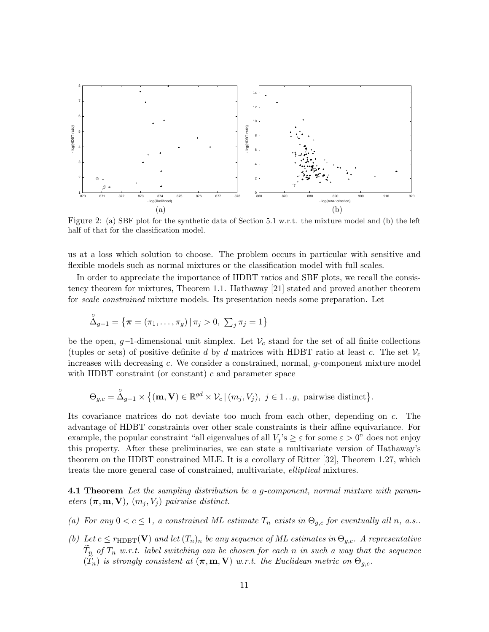

Figure 2: (a) SBF plot for the synthetic data of Section 5.1 w.r.t. the mixture model and (b) the left half of that for the classification model.

us at a loss which solution to choose. The problem occurs in particular with sensitive and flexible models such as normal mixtures or the classification model with full scales.

In order to appreciate the importance of HDBT ratios and SBF plots, we recall the consistency theorem for mixtures, Theorem 1.1. Hathaway [21] stated and proved another theorem for *scale constrained* mixture models. Its presentation needs some preparation. Let

$$
\overset{\circ}{\Delta}_{g-1} = \{ \pi = (\pi_1, \ldots, \pi_g) \, | \, \pi_j > 0, \, \sum_j \pi_j = 1 \}
$$

be the open, g-1-dimensional unit simplex. Let  $\mathcal{V}_c$  stand for the set of all finite collections (tuples or sets) of positive definite d by d matrices with HDBT ratio at least c. The set  $\mathcal{V}_c$ increases with decreasing c. We consider a constrained, normal, g-component mixture model with HDBT constraint (or constant)  $c$  and parameter space

$$
\Theta_{g,c} = \overset{\circ}{\Delta}_{g-1} \times \big\{ (\mathbf{m}, \mathbf{V}) \in \mathbb{R}^{gd} \times \mathcal{V}_c \, | \, (m_j, V_j), \ j \in 1..g, \ \text{pairwise distinct} \big\}.
$$

Its covariance matrices do not deviate too much from each other, depending on c. The advantage of HDBT constraints over other scale constraints is their affine equivariance. For example, the popular constraint "all eigenvalues of all  $V_j$ 's  $\geq \varepsilon$  for some  $\varepsilon > 0$ " does not enjoy this property. After these preliminaries, we can state a multivariate version of Hathaway's theorem on the HDBT constrained MLE. It is a corollary of Ritter [32], Theorem 1.27, which treats the more general case of constrained, multivariate, *elliptical* mixtures.

4.1 Theorem *Let the sampling distribution be a* g*-component, normal mixture with parameters*  $(\pi, m, V)$ *,*  $(m_j, V_j)$  *pairwise distinct.* 

- (a) For any  $0 < c \leq 1$ , a constrained ML estimate  $T_n$  exists in  $\Theta_{g,c}$  for eventually all n, a.s..
- *(b)* Let  $c \leq r_{\text{HDBT}}(\mathbf{V})$  and let  $(T_n)_n$  be any sequence of ML estimates in  $\Theta_{g,c}$ . A representative  $\widetilde{T}_{n}$  *of*  $T_{n}$  *w.r.t.* label switching can be chosen for each n in such a way that the sequence  $(\widetilde{T}_n)$  *is strongly consistent at*  $(\pi, m, V)$  *w.r.t. the Euclidean metric on*  $\Theta_{q,c}$ *.*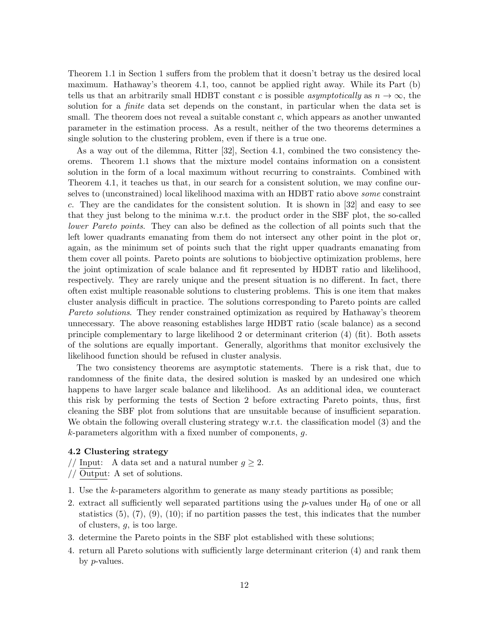Theorem 1.1 in Section 1 suffers from the problem that it doesn't betray us the desired local maximum. Hathaway's theorem 4.1, too, cannot be applied right away. While its Part (b) tells us that an arbitrarily small HDBT constant c is possible *asymptotically* as  $n \to \infty$ , the solution for a *finite* data set depends on the constant, in particular when the data set is small. The theorem does not reveal a suitable constant  $c$ , which appears as another unwanted parameter in the estimation process. As a result, neither of the two theorems determines a single solution to the clustering problem, even if there is a true one.

As a way out of the dilemma, Ritter [32], Section 4.1, combined the two consistency theorems. Theorem 1.1 shows that the mixture model contains information on a consistent solution in the form of a local maximum without recurring to constraints. Combined with Theorem 4.1, it teaches us that, in our search for a consistent solution, we may confine ourselves to (unconstrained) local likelihood maxima with an HDBT ratio above *some* constraint c. They are the candidates for the consistent solution. It is shown in [32] and easy to see that they just belong to the minima w.r.t. the product order in the SBF plot, the so-called *lower Pareto points*. They can also be defined as the collection of all points such that the left lower quadrants emanating from them do not intersect any other point in the plot or, again, as the minimum set of points such that the right upper quadrants emanating from them cover all points. Pareto points are solutions to biobjective optimization problems, here the joint optimization of scale balance and fit represented by HDBT ratio and likelihood, respectively. They are rarely unique and the present situation is no different. In fact, there often exist multiple reasonable solutions to clustering problems. This is one item that makes cluster analysis difficult in practice. The solutions corresponding to Pareto points are called *Pareto solutions*. They render constrained optimization as required by Hathaway's theorem unnecessary. The above reasoning establishes large HDBT ratio (scale balance) as a second principle complementary to large likelihood 2 or determinant criterion (4) (fit). Both assets of the solutions are equally important. Generally, algorithms that monitor exclusively the likelihood function should be refused in cluster analysis.

The two consistency theorems are asymptotic statements. There is a risk that, due to randomness of the finite data, the desired solution is masked by an undesired one which happens to have larger scale balance and likelihood. As an additional idea, we counteract this risk by performing the tests of Section 2 before extracting Pareto points, thus, first cleaning the SBF plot from solutions that are unsuitable because of insufficient separation. We obtain the following overall clustering strategy w.r.t. the classification model (3) and the k-parameters algorithm with a fixed number of components, g.

#### 4.2 Clustering strategy

// Input: A data set and a natural number  $g \geq 2$ .

// Output: A set of solutions.

- 1. Use the k-parameters algorithm to generate as many steady partitions as possible;
- 2. extract all sufficiently well separated partitions using the  $p$ -values under  $H_0$  of one or all statistics (5), (7), (9), (10); if no partition passes the test, this indicates that the number of clusters, g, is too large.
- 3. determine the Pareto points in the SBF plot established with these solutions;
- 4. return all Pareto solutions with sufficiently large determinant criterion (4) and rank them by p-values.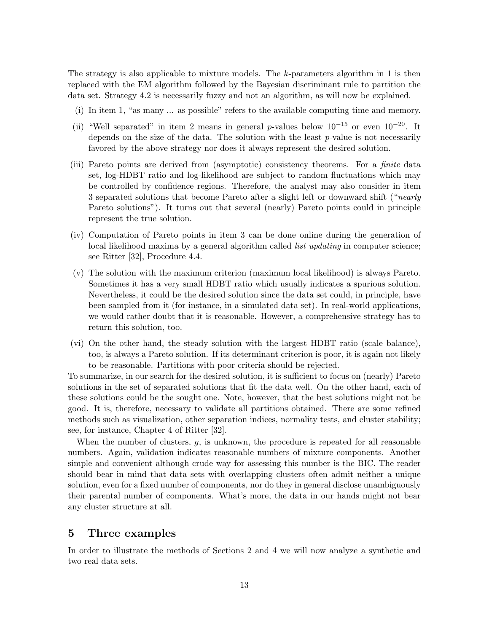The strategy is also applicable to mixture models. The  $k$ -parameters algorithm in 1 is then replaced with the EM algorithm followed by the Bayesian discriminant rule to partition the data set. Strategy 4.2 is necessarily fuzzy and not an algorithm, as will now be explained.

- (i) In item 1, "as many ... as possible" refers to the available computing time and memory.
- (ii) "Well separated" in item 2 means in general p-values below  $10^{-15}$  or even  $10^{-20}$ . It depends on the size of the data. The solution with the least  $p$ -value is not necessarily favored by the above strategy nor does it always represent the desired solution.
- (iii) Pareto points are derived from (asymptotic) consistency theorems. For a *finite* data set, log-HDBT ratio and log-likelihood are subject to random fluctuations which may be controlled by confidence regions. Therefore, the analyst may also consider in item 3 separated solutions that become Pareto after a slight left or downward shift ("*nearly* Pareto solutions"). It turns out that several (nearly) Pareto points could in principle represent the true solution.
- (iv) Computation of Pareto points in item 3 can be done online during the generation of local likelihood maxima by a general algorithm called *list updating* in computer science; see Ritter [32], Procedure 4.4.
- (v) The solution with the maximum criterion (maximum local likelihood) is always Pareto. Sometimes it has a very small HDBT ratio which usually indicates a spurious solution. Nevertheless, it could be the desired solution since the data set could, in principle, have been sampled from it (for instance, in a simulated data set). In real-world applications, we would rather doubt that it is reasonable. However, a comprehensive strategy has to return this solution, too.
- (vi) On the other hand, the steady solution with the largest HDBT ratio (scale balance), too, is always a Pareto solution. If its determinant criterion is poor, it is again not likely to be reasonable. Partitions with poor criteria should be rejected.

To summarize, in our search for the desired solution, it is sufficient to focus on (nearly) Pareto solutions in the set of separated solutions that fit the data well. On the other hand, each of these solutions could be the sought one. Note, however, that the best solutions might not be good. It is, therefore, necessary to validate all partitions obtained. There are some refined methods such as visualization, other separation indices, normality tests, and cluster stability; see, for instance, Chapter 4 of Ritter [32].

When the number of clusters,  $g$ , is unknown, the procedure is repeated for all reasonable numbers. Again, validation indicates reasonable numbers of mixture components. Another simple and convenient although crude way for assessing this number is the BIC. The reader should bear in mind that data sets with overlapping clusters often admit neither a unique solution, even for a fixed number of components, nor do they in general disclose unambiguously their parental number of components. What's more, the data in our hands might not bear any cluster structure at all.

## 5 Three examples

In order to illustrate the methods of Sections 2 and 4 we will now analyze a synthetic and two real data sets.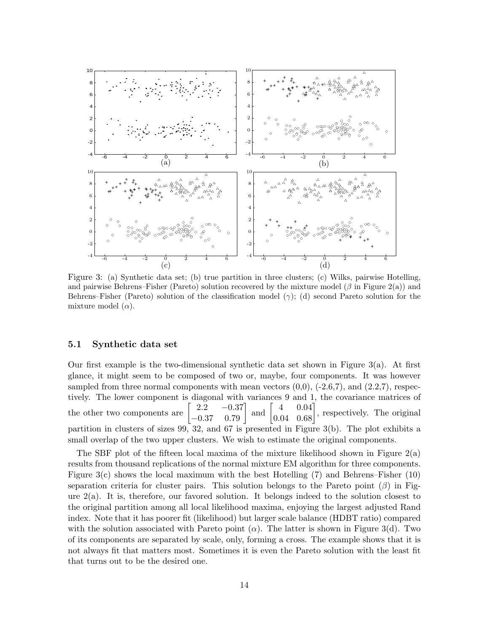

Figure 3: (a) Synthetic data set; (b) true partition in three clusters; (c) Wilks, pairwise Hotelling, and pairwise Behrens–Fisher (Pareto) solution recovered by the mixture model ( $\beta$  in Figure 2(a)) and Behrens–Fisher (Pareto) solution of the classification model  $(\gamma)$ ; (d) second Pareto solution for the mixture model  $(\alpha)$ .

#### 5.1 Synthetic data set

Our first example is the two-dimensional synthetic data set shown in Figure 3(a). At first glance, it might seem to be composed of two or, maybe, four components. It was however sampled from three normal components with mean vectors  $(0,0)$ ,  $(-2.6,7)$ , and  $(2.2,7)$ , respectively. The lower component is diagonal with variances 9 and 1, the covariance matrices of the other two components are  $\begin{bmatrix} 2.2 & -0.37 \\ -0.37 & 0.79 \end{bmatrix}$ and  $\begin{bmatrix} 4 & 0.04 \\ 0.04 & 0.68 \end{bmatrix}$ , respectively. The original partition in clusters of sizes 99, 32, and 67 is presented in Figure 3(b). The plot exhibits a small overlap of the two upper clusters. We wish to estimate the original components.

The SBF plot of the fifteen local maxima of the mixture likelihood shown in Figure  $2(a)$ results from thousand replications of the normal mixture EM algorithm for three components. Figure  $3(c)$  shows the local maximum with the best Hotelling (7) and Behrens–Fisher (10) separation criteria for cluster pairs. This solution belongs to the Pareto point  $(\beta)$  in Figure  $2(a)$ . It is, therefore, our favored solution. It belongs indeed to the solution closest to the original partition among all local likelihood maxima, enjoying the largest adjusted Rand index. Note that it has poorer fit (likelihood) but larger scale balance (HDBT ratio) compared with the solution associated with Pareto point  $(\alpha)$ . The latter is shown in Figure 3(d). Two of its components are separated by scale, only, forming a cross. The example shows that it is not always fit that matters most. Sometimes it is even the Pareto solution with the least fit that turns out to be the desired one.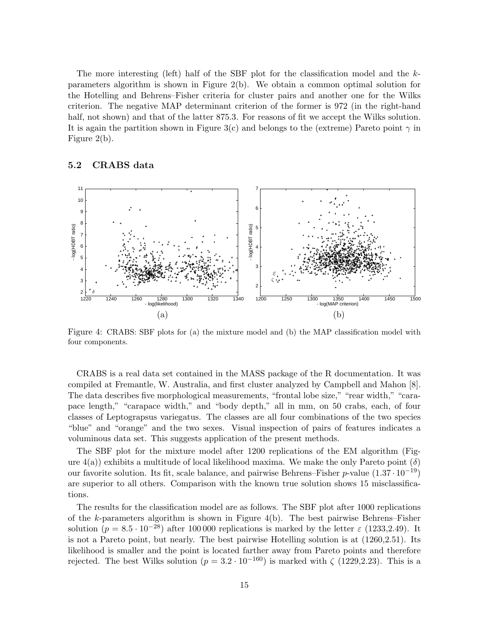The more interesting (left) half of the SBF plot for the classification model and the  $k$ parameters algorithm is shown in Figure 2(b). We obtain a common optimal solution for the Hotelling and Behrens–Fisher criteria for cluster pairs and another one for the Wilks criterion. The negative MAP determinant criterion of the former is 972 (in the right-hand half, not shown) and that of the latter 875.3. For reasons of fit we accept the Wilks solution. It is again the partition shown in Figure 3(c) and belongs to the (extreme) Pareto point  $\gamma$  in Figure 2(b).

### 5.2 CRABS data



Figure 4: CRABS: SBF plots for (a) the mixture model and (b) the MAP classification model with four components.

CRABS is a real data set contained in the MASS package of the R documentation. It was compiled at Fremantle, W. Australia, and first cluster analyzed by Campbell and Mahon [8]. The data describes five morphological measurements, "frontal lobe size," "rear width," "carapace length," "carapace width," and "body depth," all in mm, on 50 crabs, each, of four classes of Leptograpsus variegatus. The classes are all four combinations of the two species "blue" and "orange" and the two sexes. Visual inspection of pairs of features indicates a voluminous data set. This suggests application of the present methods.

The SBF plot for the mixture model after 1200 replications of the EM algorithm (Figure  $4(a)$ ) exhibits a multitude of local likelihood maxima. We make the only Pareto point  $(\delta)$ our favorite solution. Its fit, scale balance, and pairwise Behrens–Fisher p-value  $(1.37 \cdot 10^{-19})$ are superior to all others. Comparison with the known true solution shows 15 misclassifications.

The results for the classification model are as follows. The SBF plot after 1000 replications of the  $k$ -parameters algorithm is shown in Figure 4(b). The best pairwise Behrens–Fisher solution  $(p = 8.5 \cdot 10^{-28})$  after 100 000 replications is marked by the letter  $\varepsilon$  (1233,2.49). It is not a Pareto point, but nearly. The best pairwise Hotelling solution is at (1260,2.51). Its likelihood is smaller and the point is located farther away from Pareto points and therefore rejected. The best Wilks solution ( $p = 3.2 \cdot 10^{-160}$ ) is marked with  $\zeta$  (1229,2.23). This is a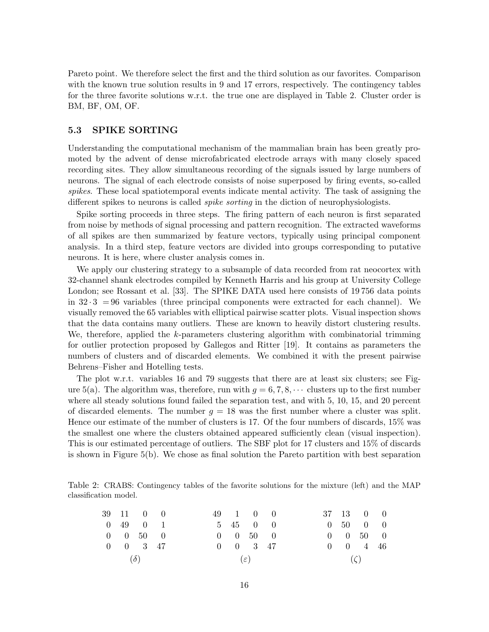Pareto point. We therefore select the first and the third solution as our favorites. Comparison with the known true solution results in 9 and 17 errors, respectively. The contingency tables for the three favorite solutions w.r.t. the true one are displayed in Table 2. Cluster order is BM, BF, OM, OF.

### 5.3 SPIKE SORTING

Understanding the computational mechanism of the mammalian brain has been greatly promoted by the advent of dense microfabricated electrode arrays with many closely spaced recording sites. They allow simultaneous recording of the signals issued by large numbers of neurons. The signal of each electrode consists of noise superposed by firing events, so-called *spikes*. These local spatiotemporal events indicate mental activity. The task of assigning the different spikes to neurons is called *spike sorting* in the diction of neurophysiologists.

Spike sorting proceeds in three steps. The firing pattern of each neuron is first separated from noise by methods of signal processing and pattern recognition. The extracted waveforms of all spikes are then summarized by feature vectors, typically using principal component analysis. In a third step, feature vectors are divided into groups corresponding to putative neurons. It is here, where cluster analysis comes in.

We apply our clustering strategy to a subsample of data recorded from rat neocortex with 32-channel shank electrodes compiled by Kenneth Harris and his group at University College London; see Rossant et al. [33]. The SPIKE DATA used here consists of 19756 data points in  $32 \cdot 3 = 96$  variables (three principal components were extracted for each channel). We visually removed the 65 variables with elliptical pairwise scatter plots. Visual inspection shows that the data contains many outliers. These are known to heavily distort clustering results. We, therefore, applied the k-parameters clustering algorithm with combinatorial trimming for outlier protection proposed by Gallegos and Ritter [19]. It contains as parameters the numbers of clusters and of discarded elements. We combined it with the present pairwise Behrens–Fisher and Hotelling tests.

The plot w.r.t. variables 16 and 79 suggests that there are at least six clusters; see Figure 5(a). The algorithm was, therefore, run with  $g = 6, 7, 8, \cdots$  clusters up to the first number where all steady solutions found failed the separation test, and with 5, 10, 15, and 20 percent of discarded elements. The number  $g = 18$  was the first number where a cluster was split. Hence our estimate of the number of clusters is 17. Of the four numbers of discards, 15% was the smallest one where the clusters obtained appeared sufficiently clean (visual inspection). This is our estimated percentage of outliers. The SBF plot for 17 clusters and 15% of discards is shown in Figure 5(b). We chose as final solution the Pareto partition with best separation

Table 2: CRABS: Contingency tables of the favorite solutions for the mixture (left) and the MAP classification model.

|            | 39 11 0 0                 |  |                 | 49 1 0 0            |  |           |  | 37 13 0 0                    |  |
|------------|---------------------------|--|-----------------|---------------------|--|-----------|--|------------------------------|--|
|            | $0\quad 49\quad 0\quad 1$ |  |                 | 5 45 0 0            |  |           |  | $0\quad 50\quad 0\quad 0$    |  |
|            | $0 \t 0 \t 50 \t 0$       |  |                 | $0 \t 0 \t 50 \t 0$ |  |           |  | $0 \quad 0 \quad 50 \quad 0$ |  |
|            | $0 \t 0 \t 3 \t 47$       |  |                 | $0 \t 0 \t 3 \t 47$ |  |           |  | $0 \t 0 \t 4 \t 46$          |  |
| $(\delta)$ |                           |  | $(\varepsilon)$ |                     |  | $(\zeta)$ |  |                              |  |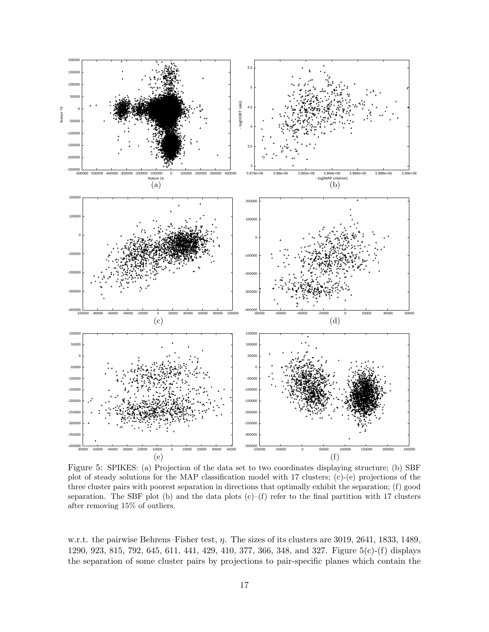

Figure 5: SPIKES: (a) Projection of the data set to two coordinates displaying structure; (b) SBF plot of steady solutions for the MAP classification model with 17 clusters; (c)-(e) projections of the three cluster pairs with poorest separation in directions that optimally exhibit the separation; (f) good separation. The SBF plot (b) and the data plots  $(c)$ –(f) refer to the final partition with 17 clusters after removing 15% of outliers.

w.r.t. the pairwise Behrens–Fisher test,  $\eta$ . The sizes of its clusters are 3019, 2641, 1833, 1489, 1290, 923, 815, 792, 645, 611, 441, 429, 410, 377, 366, 348, and 327. Figure 5(c)-(f) displays the separation of some cluster pairs by projections to pair-specific planes which contain the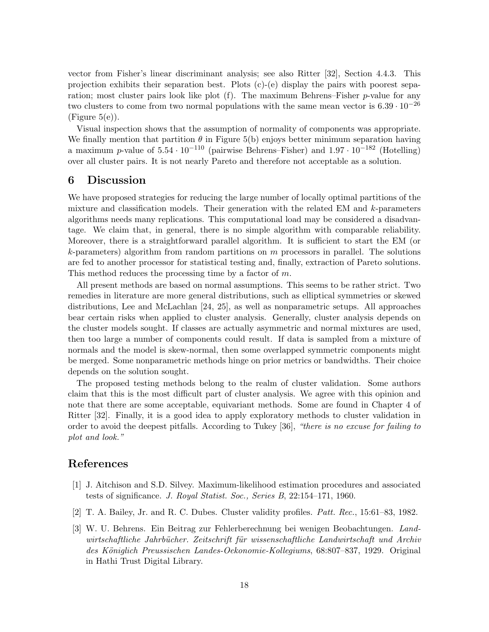vector from Fisher's linear discriminant analysis; see also Ritter [32], Section 4.4.3. This projection exhibits their separation best. Plots (c)-(e) display the pairs with poorest separation; most cluster pairs look like plot  $(f)$ . The maximum Behrens–Fisher p-value for any two clusters to come from two normal populations with the same mean vector is  $6.39 \cdot 10^{-26}$  $(Figure 5(e)).$ 

Visual inspection shows that the assumption of normality of components was appropriate. We finally mention that partition  $\theta$  in Figure 5(b) enjoys better minimum separation having a maximum p-value of  $5.54 \cdot 10^{-110}$  (pairwise Behrens–Fisher) and  $1.97 \cdot 10^{-182}$  (Hotelling) over all cluster pairs. It is not nearly Pareto and therefore not acceptable as a solution.

### 6 Discussion

We have proposed strategies for reducing the large number of locally optimal partitions of the mixture and classification models. Their generation with the related EM and k-parameters algorithms needs many replications. This computational load may be considered a disadvantage. We claim that, in general, there is no simple algorithm with comparable reliability. Moreover, there is a straightforward parallel algorithm. It is sufficient to start the EM (or  $k$ -parameters) algorithm from random partitions on  $m$  processors in parallel. The solutions are fed to another processor for statistical testing and, finally, extraction of Pareto solutions. This method reduces the processing time by a factor of m.

All present methods are based on normal assumptions. This seems to be rather strict. Two remedies in literature are more general distributions, such as elliptical symmetries or skewed distributions, Lee and McLachlan [24, 25], as well as nonparametric setups. All approaches bear certain risks when applied to cluster analysis. Generally, cluster analysis depends on the cluster models sought. If classes are actually asymmetric and normal mixtures are used, then too large a number of components could result. If data is sampled from a mixture of normals and the model is skew-normal, then some overlapped symmetric components might be merged. Some nonparametric methods hinge on prior metrics or bandwidths. Their choice depends on the solution sought.

The proposed testing methods belong to the realm of cluster validation. Some authors claim that this is the most difficult part of cluster analysis. We agree with this opinion and note that there are some acceptable, equivariant methods. Some are found in Chapter 4 of Ritter [32]. Finally, it is a good idea to apply exploratory methods to cluster validation in order to avoid the deepest pitfalls. According to Tukey [36], *"there is no excuse for failing to plot and look."*

# References

- [1] J. Aitchison and S.D. Silvey. Maximum-likelihood estimation procedures and associated tests of significance. *J. Royal Statist. Soc., Series B*, 22:154–171, 1960.
- [2] T. A. Bailey, Jr. and R. C. Dubes. Cluster validity profiles. *Patt. Rec.*, 15:61–83, 1982.
- [3] W. U. Behrens. Ein Beitrag zur Fehlerberechnung bei wenigen Beobachtungen. *Land*wirtschaftliche Jahrbücher. Zeitschrift für wissenschaftliche Landwirtschaft und Archiv *des K¨oniglich Preussischen Landes-Oekonomie-Kollegiums*, 68:807–837, 1929. Original in Hathi Trust Digital Library.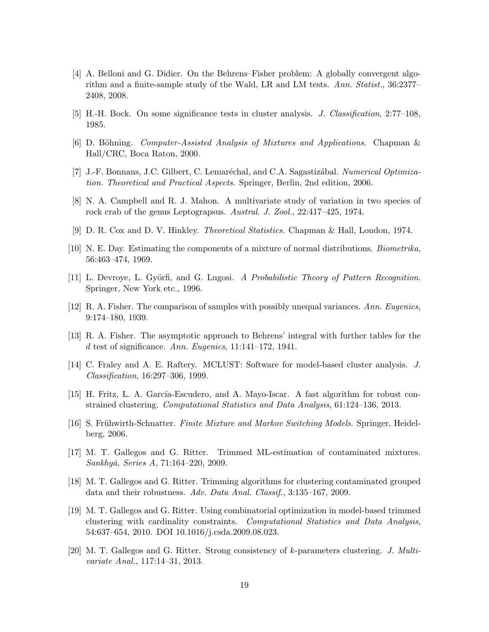- [4] A. Belloni and G. Didier. On the Behrens–Fisher problem: A globally convergent algorithm and a finite-sample study of the Wald, LR and LM tests. *Ann. Statist.*, 36:2377– 2408, 2008.
- [5] H.-H. Bock. On some significance tests in cluster analysis. *J. Classification*, 2:77–108, 1985.
- [6] D. B¨ohning. *Computer-Assisted Analysis of Mixtures and Applications*. Chapman & Hall/CRC, Boca Raton, 2000.
- [7] J.-F. Bonnans, J.C. Gilbert, C. Lemaréchal, and C.A. Sagastizábal. *Numerical Optimization. Theoretical and Practical Aspects*. Springer, Berlin, 2nd edition, 2006.
- [8] N. A. Campbell and R. J. Mahon. A multivariate study of variation in two species of rock crab of the genus Leptograpsus. *Austral. J. Zool.*, 22:417–425, 1974.
- [9] D. R. Cox and D. V. Hinkley. *Theoretical Statistics*. Chapman & Hall, London, 1974.
- [10] N. E. Day. Estimating the components of a mixture of normal distributions. *Biometrika*, 56:463–474, 1969.
- [11] L. Devroye, L. Gy¨orfi, and G. Lugosi. *A Probabilistic Theory of Pattern Recognition*. Springer, New York etc., 1996.
- [12] R. A. Fisher. The comparison of samples with possibly unequal variances. *Ann. Eugenics*, 9:174–180, 1939.
- [13] R. A. Fisher. The asymptotic approach to Behrens' integral with further tables for the d test of significance. *Ann. Eugenics*, 11:141–172, 1941.
- [14] C. Fraley and A. E. Raftery. MCLUST: Software for model-based cluster analysis. *J. Classification*, 16:297–306, 1999.
- [15] H. Fritz, L. A. García-Escudero, and A. Mayo-Iscar. A fast algorithm for robust constrained clustering. *Computational Statistics and Data Analysis*, 61:124–136, 2013.
- [16] S. Frühwirth-Schnatter. *Finite Mixture and Markov Switching Models*. Springer, Heidelberg, 2006.
- [17] M. T. Gallegos and G. Ritter. Trimmed ML-estimation of contaminated mixtures. *Sankhy¯a, Series A*, 71:164–220, 2009.
- [18] M. T. Gallegos and G. Ritter. Trimming algorithms for clustering contaminated grouped data and their robustness. *Adv. Data Anal. Classif.*, 3:135–167, 2009.
- [19] M. T. Gallegos and G. Ritter. Using combinatorial optimization in model-based trimmed clustering with cardinality constraints. *Computational Statistics and Data Analysis*, 54:637–654, 2010. DOI 10.1016/j.csda.2009.08.023.
- [20] M. T. Gallegos and G. Ritter. Strong consistency of k-parameters clustering. *J. Multivariate Anal.*, 117:14–31, 2013.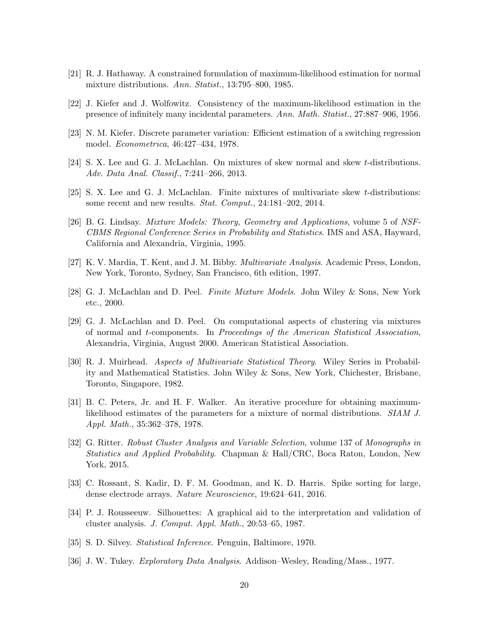- [21] R. J. Hathaway. A constrained formulation of maximum-likelihood estimation for normal mixture distributions. *Ann. Statist.*, 13:795–800, 1985.
- [22] J. Kiefer and J. Wolfowitz. Consistency of the maximum-likelihood estimation in the presence of infinitely many incidental parameters. *Ann. Math. Statist.*, 27:887–906, 1956.
- [23] N. M. Kiefer. Discrete parameter variation: Efficient estimation of a switching regression model. *Econometrica*, 46:427–434, 1978.
- [24] S. X. Lee and G. J. McLachlan. On mixtures of skew normal and skew t-distributions. *Adv. Data Anal. Classif.*, 7:241–266, 2013.
- [25] S. X. Lee and G. J. McLachlan. Finite mixtures of multivariate skew t-distributions: some recent and new results. *Stat. Comput.*, 24:181–202, 2014.
- [26] B. G. Lindsay. *Mixture Models: Theory, Geometry and Applications*, volume 5 of *NSF-CBMS Regional Conference Series in Probability and Statistics*. IMS and ASA, Hayward, California and Alexandria, Virginia, 1995.
- [27] K. V. Mardia, T. Kent, and J. M. Bibby. *Multivariate Analysis*. Academic Press, London, New York, Toronto, Sydney, San Francisco, 6th edition, 1997.
- [28] G. J. McLachlan and D. Peel. *Finite Mixture Models*. John Wiley & Sons, New York etc., 2000.
- [29] G. J. McLachlan and D. Peel. On computational aspects of clustering via mixtures of normal and t-components. In *Proceedings of the American Statistical Association*, Alexandria, Virginia, August 2000. American Statistical Association.
- [30] R. J. Muirhead. *Aspects of Multivariate Statistical Theory*. Wiley Series in Probability and Mathematical Statistics. John Wiley & Sons, New York, Chichester, Brisbane, Toronto, Singapore, 1982.
- [31] B. C. Peters, Jr. and H. F. Walker. An iterative procedure for obtaining maximumlikelihood estimates of the parameters for a mixture of normal distributions. *SIAM J. Appl. Math.*, 35:362–378, 1978.
- [32] G. Ritter. *Robust Cluster Analysis and Variable Selection*, volume 137 of *Monographs in Statistics and Applied Probability*. Chapman & Hall/CRC, Boca Raton, London, New York, 2015.
- [33] C. Rossant, S. Kadir, D. F. M. Goodman, and K. D. Harris. Spike sorting for large, dense electrode arrays. *Nature Neuroscience*, 19:624–641, 2016.
- [34] P. J. Rousseeuw. Silhouettes: A graphical aid to the interpretation and validation of cluster analysis. *J. Comput. Appl. Math.*, 20:53–65, 1987.
- [35] S. D. Silvey. *Statistical Inference*. Penguin, Baltimore, 1970.
- [36] J. W. Tukey. *Exploratory Data Analysis*. Addison–Wesley, Reading/Mass., 1977.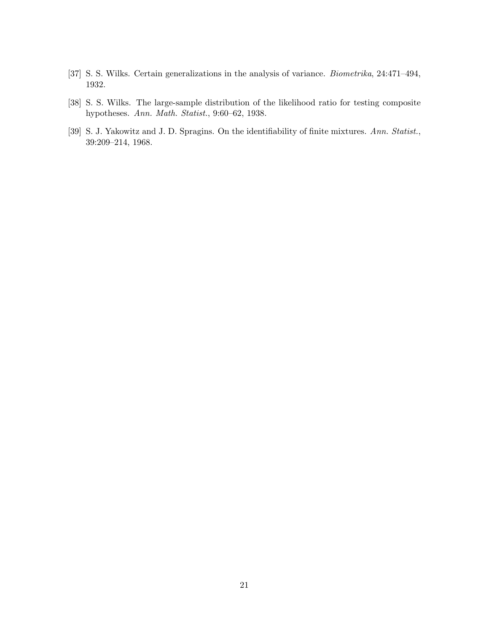- [37] S. S. Wilks. Certain generalizations in the analysis of variance. *Biometrika*, 24:471–494, 1932.
- [38] S. S. Wilks. The large-sample distribution of the likelihood ratio for testing composite hypotheses. *Ann. Math. Statist.*, 9:60–62, 1938.
- [39] S. J. Yakowitz and J. D. Spragins. On the identifiability of finite mixtures. *Ann. Statist.*, 39:209–214, 1968.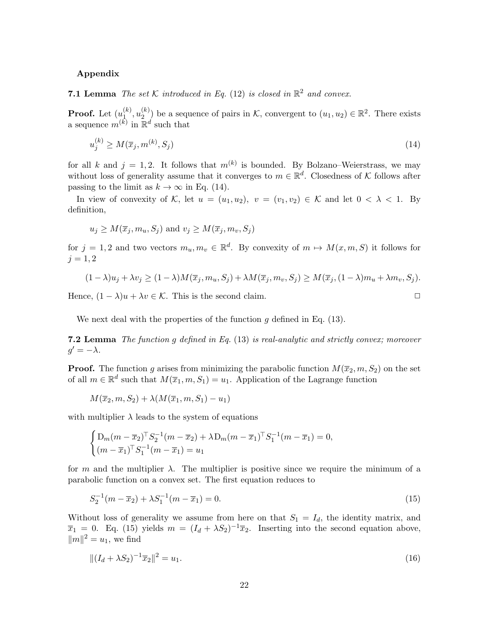### Appendix

**7.1 Lemma** *The set*  $K$  *introduced in Eq.* (12) *is closed in*  $\mathbb{R}^2$  *and convex.* 

**Proof.** Let  $(u_1^{(k)})$  $\mathfrak{l}_{1}^{(k)},u_{2}^{(k)}$  $\binom{k}{2}$  be a sequence of pairs in K, convergent to  $(u_1, u_2) \in \mathbb{R}^2$ . There exists a sequence  $m^{(k)}$  in  $\mathbb{R}^d$  such that

$$
u_j^{(k)} \ge M(\overline{x}_j, m^{(k)}, S_j) \tag{14}
$$

for all k and  $j = 1, 2$ . It follows that  $m^{(k)}$  is bounded. By Bolzano–Weierstrass, we may without loss of generality assume that it converges to  $m \in \mathbb{R}^d$ . Closedness of K follows after passing to the limit as  $k \to \infty$  in Eq. (14).

In view of convexity of K, let  $u = (u_1, u_2), v = (v_1, v_2) \in \mathcal{K}$  and let  $0 < \lambda < 1$ . By definition,

$$
u_j \ge M(\overline{x}_j, m_u, S_j)
$$
 and  $v_j \ge M(\overline{x}_j, m_v, S_j)$ 

for  $j = 1, 2$  and two vectors  $m_u, m_v \in \mathbb{R}^d$ . By convexity of  $m \mapsto M(x, m, S)$  it follows for  $j = 1, 2$ 

$$
(1 - \lambda)u_j + \lambda v_j \ge (1 - \lambda)M(\overline{x}_j, m_u, S_j) + \lambda M(\overline{x}_j, m_v, S_j) \ge M(\overline{x}_j, (1 - \lambda)m_u + \lambda m_v, S_j).
$$

Hence,  $(1 - \lambda)u + \lambda v \in \mathcal{K}$ . This is the second claim.

We next deal with the properties of the function  $g$  defined in Eq. (13).

7.2 Lemma *The function* g *defined in Eq.* (13) *is real-analytic and strictly convex; moreover*  $g' = -\lambda$ .

**Proof.** The function g arises from minimizing the parabolic function  $M(\overline{x}_2, m, S_2)$  on the set of all  $m \in \mathbb{R}^d$  such that  $M(\overline{x}_1, m, S_1) = u_1$ . Application of the Lagrange function

$$
M(\overline{x}_2, m, S_2) + \lambda(M(\overline{x}_1, m, S_1) - u_1)
$$

with multiplier  $\lambda$  leads to the system of equations

$$
\begin{cases} D_m(m - \overline{x}_2)^{\top} S_2^{-1}(m - \overline{x}_2) + \lambda D_m(m - \overline{x}_1)^{\top} S_1^{-1}(m - \overline{x}_1) = 0, \\ (m - \overline{x}_1)^{\top} S_1^{-1}(m - \overline{x}_1) = u_1 \end{cases}
$$

for m and the multiplier  $\lambda$ . The multiplier is positive since we require the minimum of a parabolic function on a convex set. The first equation reduces to

$$
S_2^{-1}(m - \overline{x}_2) + \lambda S_1^{-1}(m - \overline{x}_1) = 0.
$$
\n(15)

Without loss of generality we assume from here on that  $S_1 = I_d$ , the identity matrix, and  $\overline{x}_1 = 0$ . Eq. (15) yields  $m = (I_d + \lambda S_2)^{-1} \overline{x}_2$ . Inserting into the second equation above,  $||m||^2 = u_1$ , we find

$$
||(I_d + \lambda S_2)^{-1}\overline{x}_2||^2 = u_1.
$$
\n(16)